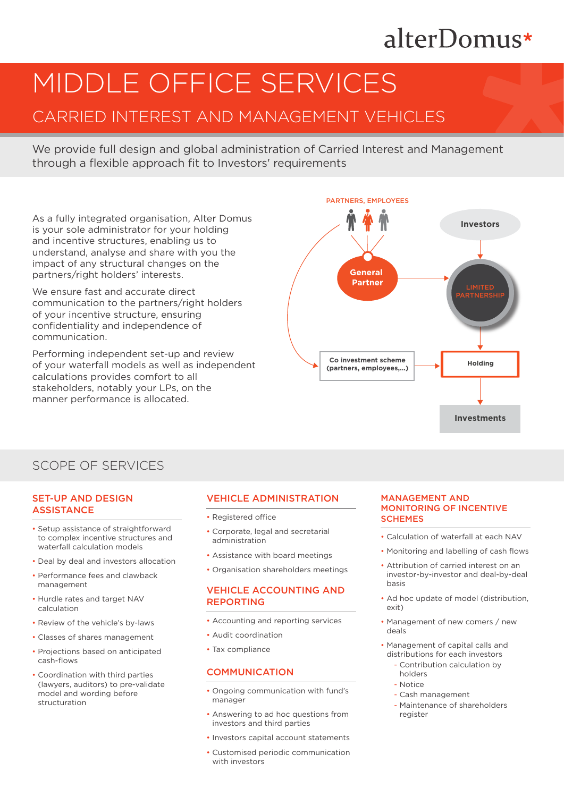# alterDomus\*

# MIDDLE OFFICE SERVICES

# CARRIED INTEREST AND MANAGEMENT VEHICLES

We provide full design and global administration of Carried Interest and Management through a flexible approach fit to Investors' requirements

As a fully integrated organisation, Alter Domus is your sole administrator for your holding and incentive structures, enabling us to understand, analyse and share with you the impact of any structural changes on the partners/right holders' interests.

We ensure fast and accurate direct communication to the partners/right holders of your incentive structure, ensuring confidentiality and independence of communication.

Performing independent set-up and review of your waterfall models as well as independent calculations provides comfort to all stakeholders, notably your LPs, on the manner performance is allocated.



# SCOPE OF SERVICES

#### SET-UP AND DESIGN **ASSISTANCE**

- Setup assistance of straightforward to complex incentive structures and waterfall calculation models
- Deal by deal and investors allocation
- Performance fees and clawback management
- Hurdle rates and target NAV calculation
- Review of the vehicle's by-laws
- Classes of shares management
- Projections based on anticipated cash-flows
- Coordination with third parties (lawyers, auditors) to pre-validate model and wording before structuration

### VEHICLE ADMINISTRATION

- Registered office
- Corporate, legal and secretarial administration
- Assistance with board meetings
- Organisation shareholders meetings

### **VEHICLE ACCOUNTING AND** REPORTING

- Accounting and reporting services
- Audit coordination
- Tax compliance

#### **COMMUNICATION**

- Ongoing communication with fund's manager
- Answering to ad hoc questions from investors and third parties
- Investors capital account statements
- Customised periodic communication with investors

#### MANAGEMENT AND MONITORING OF INCENTIVE **SCHEMES**

- Calculation of waterfall at each NAV
- Monitoring and labelling of cash flows
- Attribution of carried interest on an investor-by-investor and deal-by-deal basis
- Ad hoc update of model (distribution, exit)
- Management of new comers / new deals
- Management of capital calls and distributions for each investors
	- Contribution calculation by holders
	- Notice
	- Cash management
	- Maintenance of shareholders register